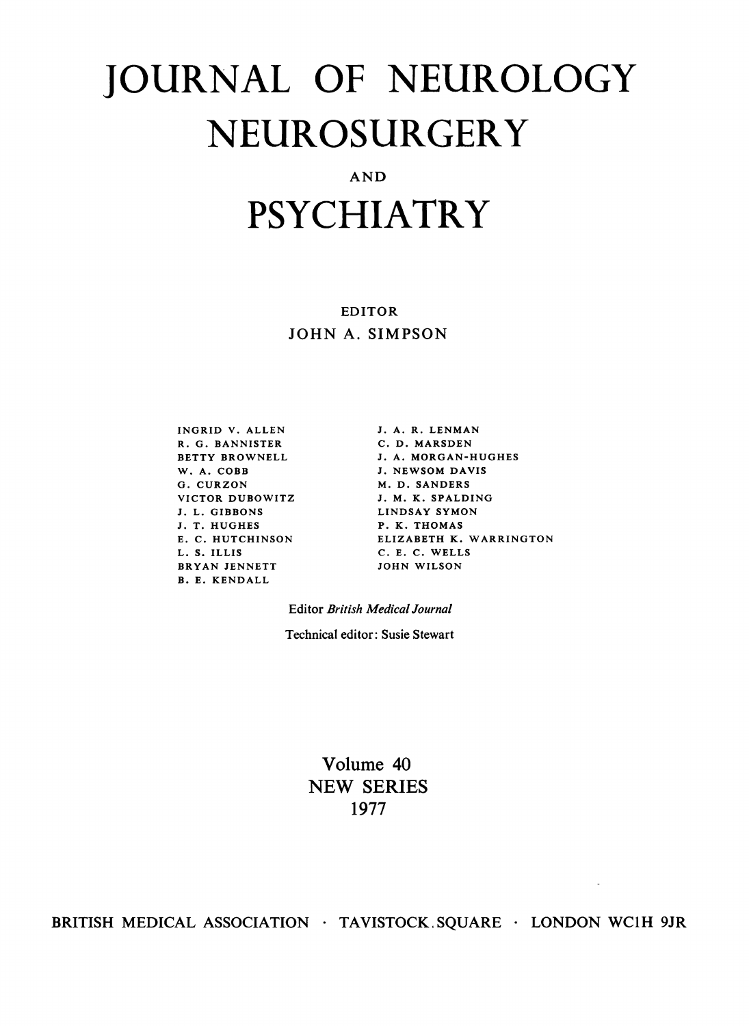## JOURNAL OF NEUROLOGY NEUROSURGERY

AND

## PSYCHIATRY

EDITOR JOHN A. SIMPSON

INGRID V. ALLEN R. G. BANNISTER R. U. BANNISTER<br>BETTY BROWNELL W. A. COBB G. CURZON VICTOR DUBOWITZ J. L. GIBBONS J. T. HUGHES E. C. HUTCHINSON L. S. ILLIS BRYAN JENNETT B. E. KENDALL

J. A. R. LENMAN C. D. MARSDEN J. A. MORGAN-HUGHES J. NEWSOM DAVIS M. D. SANDERS J. M. K. SPALDING LINDSAY SYMON P. K. THOMAS ELIZABETH K. WARRINGTON C. E. C. WELLS JOHN WILSON

 $\overline{\phantom{a}}$ 

Editor British Medical Journal

Technical editor: Susie Stewart

Volume 40 NEW SERIES 1977

BRITISH MEDICAL ASSOCIATION · TAVISTOCK SQUARE · LONDON WC1H 9JR